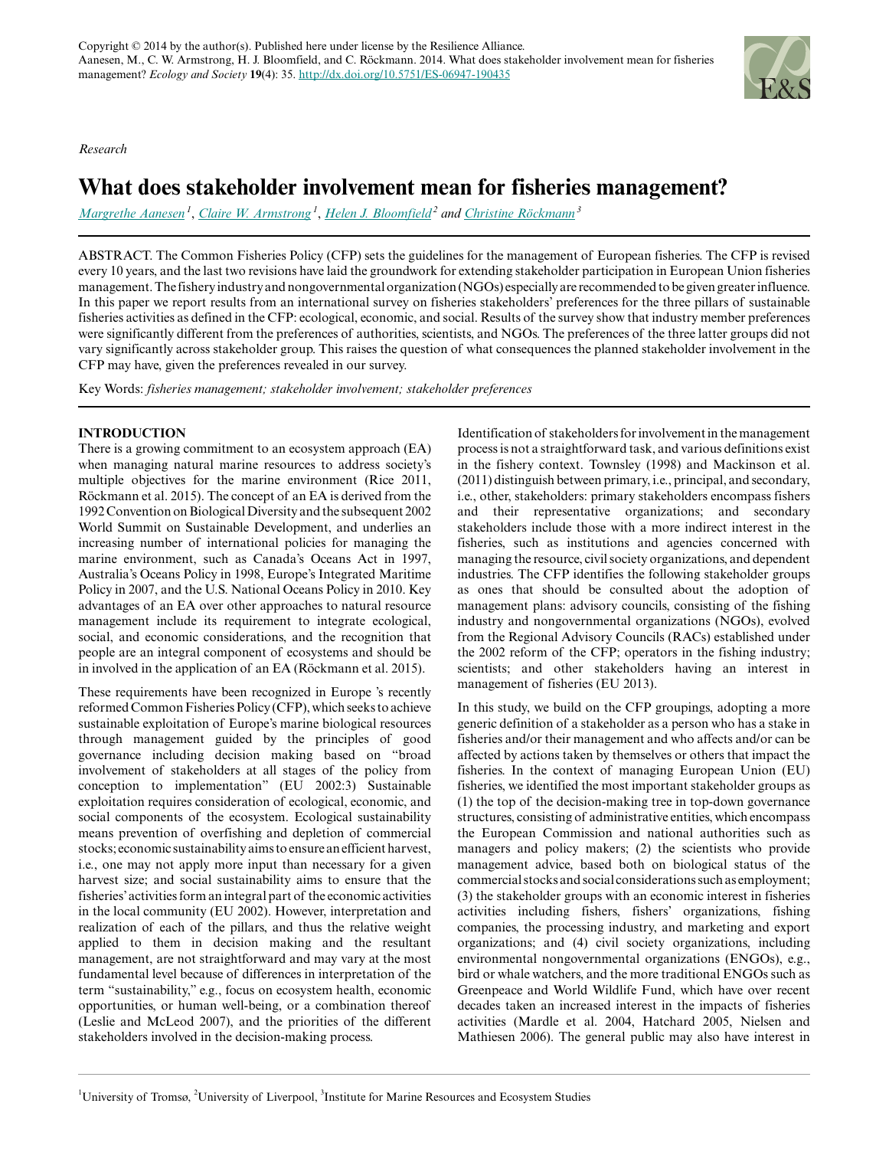*Research*

# **What does stakeholder involvement mean for fisheries management?**

*[Margrethe Aanesen](mailto:margrethe.aanesen@uit.no)<sup>1</sup>* , *[Claire W. Armstrong](mailto:claire.armstrong@uit.no)<sup>1</sup>* , *[Helen J. Bloomfield](mailto:H.J.Bloomfield@liverpool.ac.uk)<sup>2</sup> and [Christine Röckmann](mailto:Christine.Rockmann@wur.nl)<sup>3</sup>*

ABSTRACT. The Common Fisheries Policy (CFP) sets the guidelines for the management of European fisheries. The CFP is revised every 10 years, and the last two revisions have laid the groundwork for extending stakeholder participation in European Union fisheries management. The fishery industry and nongovernmental organization (NGOs) especially are recommended to be given greater influence. In this paper we report results from an international survey on fisheries stakeholders' preferences for the three pillars of sustainable fisheries activities as defined in the CFP: ecological, economic, and social. Results of the survey show that industry member preferences were significantly different from the preferences of authorities, scientists, and NGOs. The preferences of the three latter groups did not vary significantly across stakeholder group. This raises the question of what consequences the planned stakeholder involvement in the CFP may have, given the preferences revealed in our survey.

Key Words: *fisheries management; stakeholder involvement; stakeholder preferences*

### **INTRODUCTION**

There is a growing commitment to an ecosystem approach (EA) when managing natural marine resources to address society's multiple objectives for the marine environment (Rice 2011, Röckmann et al. 2015). The concept of an EA is derived from the 1992 Convention on Biological Diversity and the subsequent 2002 World Summit on Sustainable Development, and underlies an increasing number of international policies for managing the marine environment, such as Canada's Oceans Act in 1997, Australia's Oceans Policy in 1998, Europe's Integrated Maritime Policy in 2007, and the U.S. National Oceans Policy in 2010. Key advantages of an EA over other approaches to natural resource management include its requirement to integrate ecological, social, and economic considerations, and the recognition that people are an integral component of ecosystems and should be in involved in the application of an EA (Röckmann et al. 2015).

These requirements have been recognized in Europe 's recently reformed Common Fisheries Policy (CFP), which seeks to achieve sustainable exploitation of Europe's marine biological resources through management guided by the principles of good governance including decision making based on "broad involvement of stakeholders at all stages of the policy from conception to implementation" (EU 2002:3) Sustainable exploitation requires consideration of ecological, economic, and social components of the ecosystem. Ecological sustainability means prevention of overfishing and depletion of commercial stocks; economic sustainability aims to ensure an efficient harvest, i.e., one may not apply more input than necessary for a given harvest size; and social sustainability aims to ensure that the fisheries' activities form an integral part of the economic activities in the local community (EU 2002). However, interpretation and realization of each of the pillars, and thus the relative weight applied to them in decision making and the resultant management, are not straightforward and may vary at the most fundamental level because of differences in interpretation of the term "sustainability," e.g., focus on ecosystem health, economic opportunities, or human well-being, or a combination thereof (Leslie and McLeod 2007), and the priorities of the different stakeholders involved in the decision-making process.

Identification of stakeholders for involvement in the management process is not a straightforward task, and various definitions exist in the fishery context. Townsley (1998) and Mackinson et al. (2011) distinguish between primary, i.e., principal, and secondary, i.e., other, stakeholders: primary stakeholders encompass fishers and their representative organizations; and secondary stakeholders include those with a more indirect interest in the fisheries, such as institutions and agencies concerned with managing the resource, civil society organizations, and dependent industries. The CFP identifies the following stakeholder groups as ones that should be consulted about the adoption of management plans: advisory councils, consisting of the fishing industry and nongovernmental organizations (NGOs), evolved from the Regional Advisory Councils (RACs) established under the 2002 reform of the CFP; operators in the fishing industry; scientists; and other stakeholders having an interest in management of fisheries (EU 2013).

In this study, we build on the CFP groupings, adopting a more generic definition of a stakeholder as a person who has a stake in fisheries and/or their management and who affects and/or can be affected by actions taken by themselves or others that impact the fisheries. In the context of managing European Union (EU) fisheries, we identified the most important stakeholder groups as (1) the top of the decision-making tree in top-down governance structures, consisting of administrative entities, which encompass the European Commission and national authorities such as managers and policy makers; (2) the scientists who provide management advice, based both on biological status of the commercial stocks and social considerations such as employment; (3) the stakeholder groups with an economic interest in fisheries activities including fishers, fishers' organizations, fishing companies, the processing industry, and marketing and export organizations; and (4) civil society organizations, including environmental nongovernmental organizations (ENGOs), e.g., bird or whale watchers, and the more traditional ENGOs such as Greenpeace and World Wildlife Fund, which have over recent decades taken an increased interest in the impacts of fisheries activities (Mardle et al. 2004, Hatchard 2005, Nielsen and Mathiesen 2006). The general public may also have interest in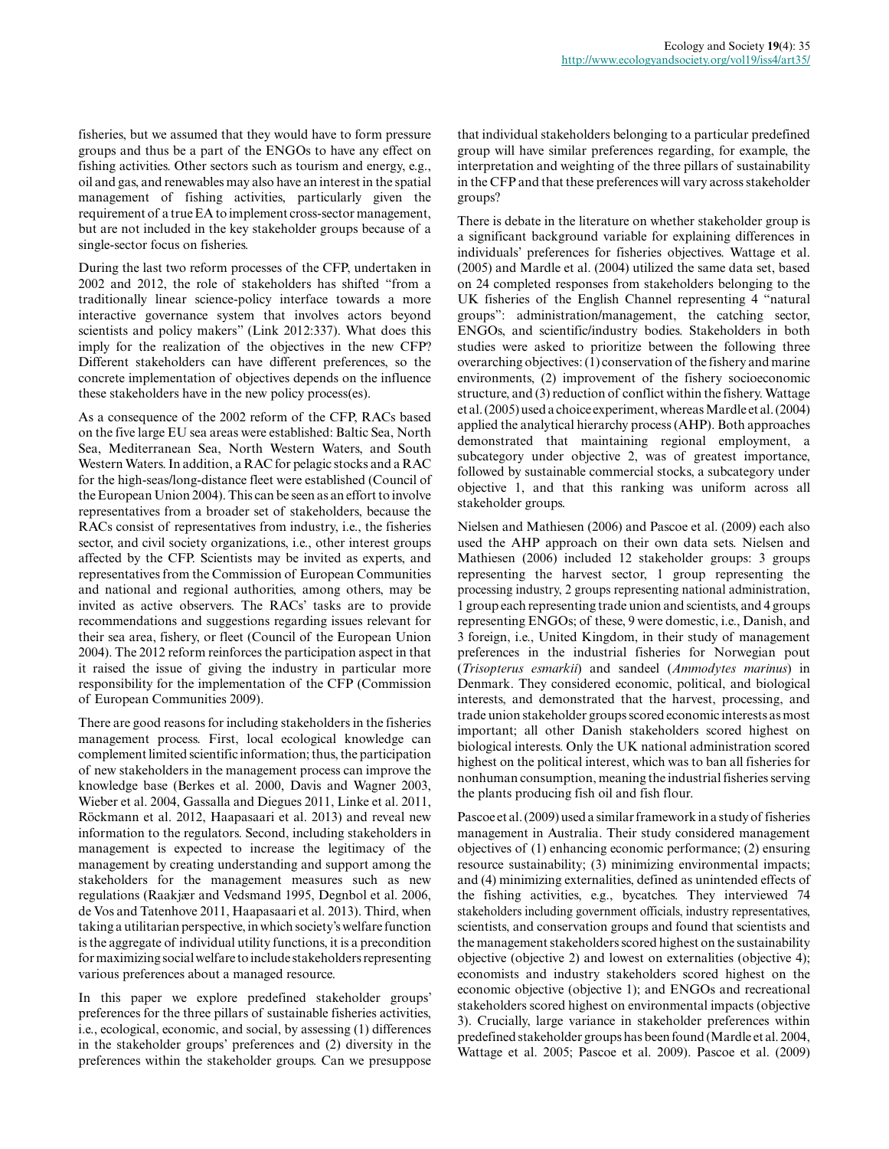fisheries, but we assumed that they would have to form pressure groups and thus be a part of the ENGOs to have any effect on fishing activities. Other sectors such as tourism and energy, e.g., oil and gas, and renewables may also have an interest in the spatial management of fishing activities, particularly given the requirement of a true EA to implement cross-sector management, but are not included in the key stakeholder groups because of a single-sector focus on fisheries.

During the last two reform processes of the CFP, undertaken in 2002 and 2012, the role of stakeholders has shifted "from a traditionally linear science-policy interface towards a more interactive governance system that involves actors beyond scientists and policy makers" (Link 2012:337). What does this imply for the realization of the objectives in the new CFP? Different stakeholders can have different preferences, so the concrete implementation of objectives depends on the influence these stakeholders have in the new policy process(es).

As a consequence of the 2002 reform of the CFP, RACs based on the five large EU sea areas were established: Baltic Sea, North Sea, Mediterranean Sea, North Western Waters, and South Western Waters. In addition, a RAC for pelagic stocks and a RAC for the high-seas/long-distance fleet were established (Council of the European Union 2004). This can be seen as an effort to involve representatives from a broader set of stakeholders, because the RACs consist of representatives from industry, i.e., the fisheries sector, and civil society organizations, i.e., other interest groups affected by the CFP. Scientists may be invited as experts, and representatives from the Commission of European Communities and national and regional authorities, among others, may be invited as active observers. The RACs' tasks are to provide recommendations and suggestions regarding issues relevant for their sea area, fishery, or fleet (Council of the European Union 2004). The 2012 reform reinforces the participation aspect in that it raised the issue of giving the industry in particular more responsibility for the implementation of the CFP (Commission of European Communities 2009).

There are good reasons for including stakeholders in the fisheries management process. First, local ecological knowledge can complement limited scientific information; thus, the participation of new stakeholders in the management process can improve the knowledge base (Berkes et al. 2000, Davis and Wagner 2003, Wieber et al. 2004, Gassalla and Diegues 2011, Linke et al. 2011, Röckmann et al. 2012, Haapasaari et al. 2013) and reveal new information to the regulators. Second, including stakeholders in management is expected to increase the legitimacy of the management by creating understanding and support among the stakeholders for the management measures such as new regulations (Raakjær and Vedsmand 1995, Degnbol et al. 2006, de Vos and Tatenhove 2011, Haapasaari et al. 2013). Third, when taking a utilitarian perspective, in which society's welfare function is the aggregate of individual utility functions, it is a precondition for maximizing social welfare to include stakeholders representing various preferences about a managed resource.

In this paper we explore predefined stakeholder groups' preferences for the three pillars of sustainable fisheries activities, i.e., ecological, economic, and social, by assessing (1) differences in the stakeholder groups' preferences and (2) diversity in the preferences within the stakeholder groups. Can we presuppose that individual stakeholders belonging to a particular predefined group will have similar preferences regarding, for example, the interpretation and weighting of the three pillars of sustainability in the CFP and that these preferences will vary across stakeholder groups?

There is debate in the literature on whether stakeholder group is a significant background variable for explaining differences in individuals' preferences for fisheries objectives. Wattage et al. (2005) and Mardle et al. (2004) utilized the same data set, based on 24 completed responses from stakeholders belonging to the UK fisheries of the English Channel representing 4 "natural groups": administration/management, the catching sector, ENGOs, and scientific/industry bodies. Stakeholders in both studies were asked to prioritize between the following three overarching objectives: (1) conservation of the fishery and marine environments, (2) improvement of the fishery socioeconomic structure, and (3) reduction of conflict within the fishery. Wattage et al. (2005) used a choice experiment, whereas Mardle et al. (2004) applied the analytical hierarchy process (AHP). Both approaches demonstrated that maintaining regional employment, a subcategory under objective 2, was of greatest importance, followed by sustainable commercial stocks, a subcategory under objective 1, and that this ranking was uniform across all stakeholder groups.

Nielsen and Mathiesen (2006) and Pascoe et al. (2009) each also used the AHP approach on their own data sets. Nielsen and Mathiesen (2006) included 12 stakeholder groups: 3 groups representing the harvest sector, 1 group representing the processing industry, 2 groups representing national administration, 1 group each representing trade union and scientists, and 4 groups representing ENGOs; of these, 9 were domestic, i.e., Danish, and 3 foreign, i.e., United Kingdom, in their study of management preferences in the industrial fisheries for Norwegian pout (*Trisopterus esmarkii*) and sandeel (*Ammodytes marinus*) in Denmark. They considered economic, political, and biological interests, and demonstrated that the harvest, processing, and trade union stakeholder groups scored economic interests as most important; all other Danish stakeholders scored highest on biological interests. Only the UK national administration scored highest on the political interest, which was to ban all fisheries for nonhuman consumption, meaning the industrial fisheries serving the plants producing fish oil and fish flour.

Pascoe et al. (2009) used a similar framework in a study of fisheries management in Australia. Their study considered management objectives of (1) enhancing economic performance; (2) ensuring resource sustainability; (3) minimizing environmental impacts; and (4) minimizing externalities, defined as unintended effects of the fishing activities, e.g., bycatches. They interviewed 74 stakeholders including government officials, industry representatives, scientists, and conservation groups and found that scientists and the management stakeholders scored highest on the sustainability objective (objective 2) and lowest on externalities (objective 4); economists and industry stakeholders scored highest on the economic objective (objective 1); and ENGOs and recreational stakeholders scored highest on environmental impacts (objective 3). Crucially, large variance in stakeholder preferences within predefined stakeholder groups has been found (Mardle et al. 2004, Wattage et al. 2005; Pascoe et al. 2009). Pascoe et al. (2009)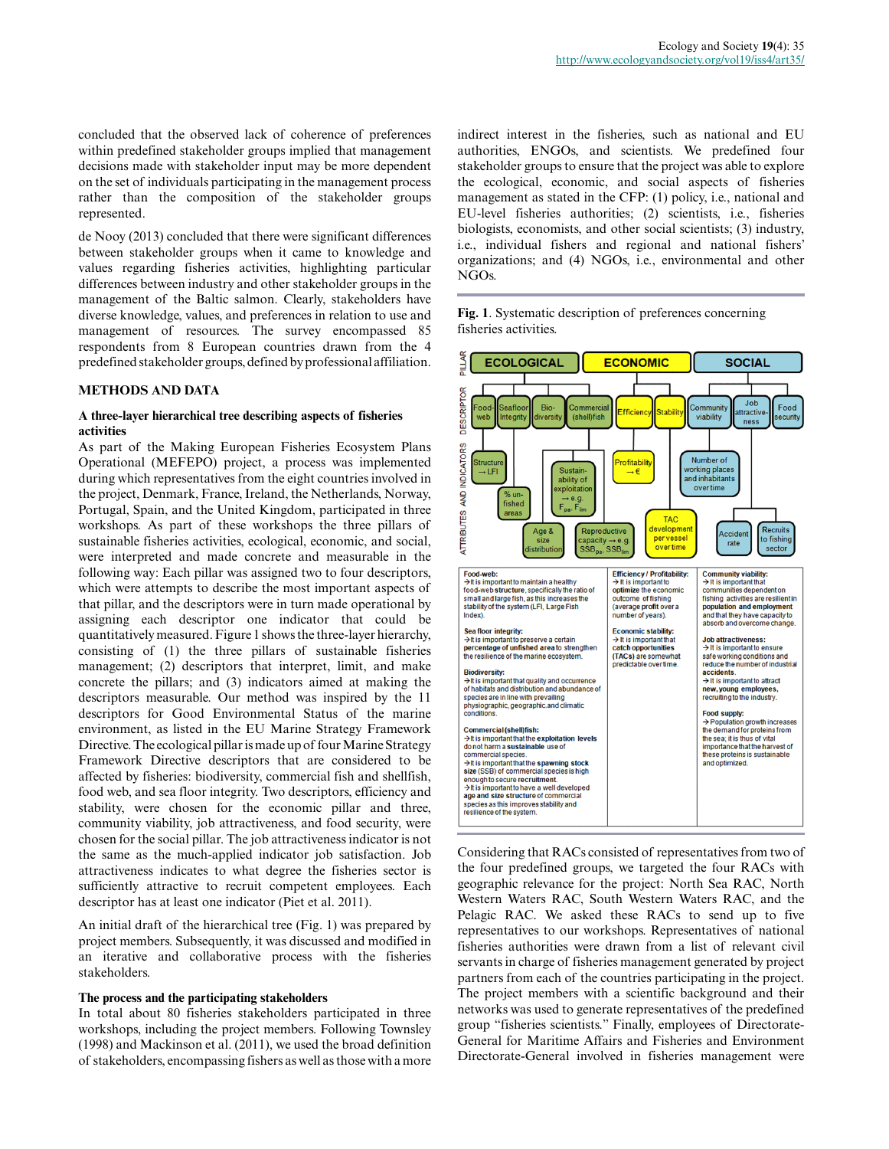concluded that the observed lack of coherence of preferences within predefined stakeholder groups implied that management decisions made with stakeholder input may be more dependent on the set of individuals participating in the management process rather than the composition of the stakeholder groups represented.

de Nooy (2013) concluded that there were significant differences between stakeholder groups when it came to knowledge and values regarding fisheries activities, highlighting particular differences between industry and other stakeholder groups in the management of the Baltic salmon. Clearly, stakeholders have diverse knowledge, values, and preferences in relation to use and management of resources. The survey encompassed 85 respondents from 8 European countries drawn from the 4 predefined stakeholder groups, defined by professional affiliation.

#### **METHODS AND DATA**

#### **A three-layer hierarchical tree describing aspects of fisheries activities**

As part of the Making European Fisheries Ecosystem Plans Operational (MEFEPO) project, a process was implemented during which representatives from the eight countries involved in the project, Denmark, France, Ireland, the Netherlands, Norway, Portugal, Spain, and the United Kingdom, participated in three workshops. As part of these workshops the three pillars of sustainable fisheries activities, ecological, economic, and social, were interpreted and made concrete and measurable in the following way: Each pillar was assigned two to four descriptors, which were attempts to describe the most important aspects of that pillar, and the descriptors were in turn made operational by assigning each descriptor one indicator that could be quantitatively measured. Figure 1 shows the three-layer hierarchy, consisting of (1) the three pillars of sustainable fisheries management; (2) descriptors that interpret, limit, and make concrete the pillars; and (3) indicators aimed at making the descriptors measurable. Our method was inspired by the 11 descriptors for Good Environmental Status of the marine environment, as listed in the EU Marine Strategy Framework Directive. The ecological pillar is made up of four Marine Strategy Framework Directive descriptors that are considered to be affected by fisheries: biodiversity, commercial fish and shellfish, food web, and sea floor integrity. Two descriptors, efficiency and stability, were chosen for the economic pillar and three, community viability, job attractiveness, and food security, were chosen for the social pillar. The job attractiveness indicator is not the same as the much-applied indicator job satisfaction. Job attractiveness indicates to what degree the fisheries sector is sufficiently attractive to recruit competent employees. Each descriptor has at least one indicator (Piet et al. 2011).

An initial draft of the hierarchical tree (Fig. 1) was prepared by project members. Subsequently, it was discussed and modified in an iterative and collaborative process with the fisheries stakeholders.

#### **The process and the participating stakeholders**

In total about 80 fisheries stakeholders participated in three workshops, including the project members. Following Townsley (1998) and Mackinson et al. (2011), we used the broad definition of stakeholders, encompassing fishers as well as those with a more

indirect interest in the fisheries, such as national and EU authorities, ENGOs, and scientists. We predefined four stakeholder groups to ensure that the project was able to explore the ecological, economic, and social aspects of fisheries management as stated in the CFP: (1) policy, i.e., national and EU-level fisheries authorities; (2) scientists, i.e., fisheries biologists, economists, and other social scientists; (3) industry, i.e., individual fishers and regional and national fishers' organizations; and (4) NGOs, i.e., environmental and other NGOs.



**Fig. 1**. Systematic description of preferences concerning fisheries activities.

Considering that RACs consisted of representatives from two of the four predefined groups, we targeted the four RACs with geographic relevance for the project: North Sea RAC, North Western Waters RAC, South Western Waters RAC, and the Pelagic RAC. We asked these RACs to send up to five representatives to our workshops. Representatives of national fisheries authorities were drawn from a list of relevant civil servants in charge of fisheries management generated by project partners from each of the countries participating in the project. The project members with a scientific background and their networks was used to generate representatives of the predefined group "fisheries scientists." Finally, employees of Directorate-General for Maritime Affairs and Fisheries and Environment Directorate-General involved in fisheries management were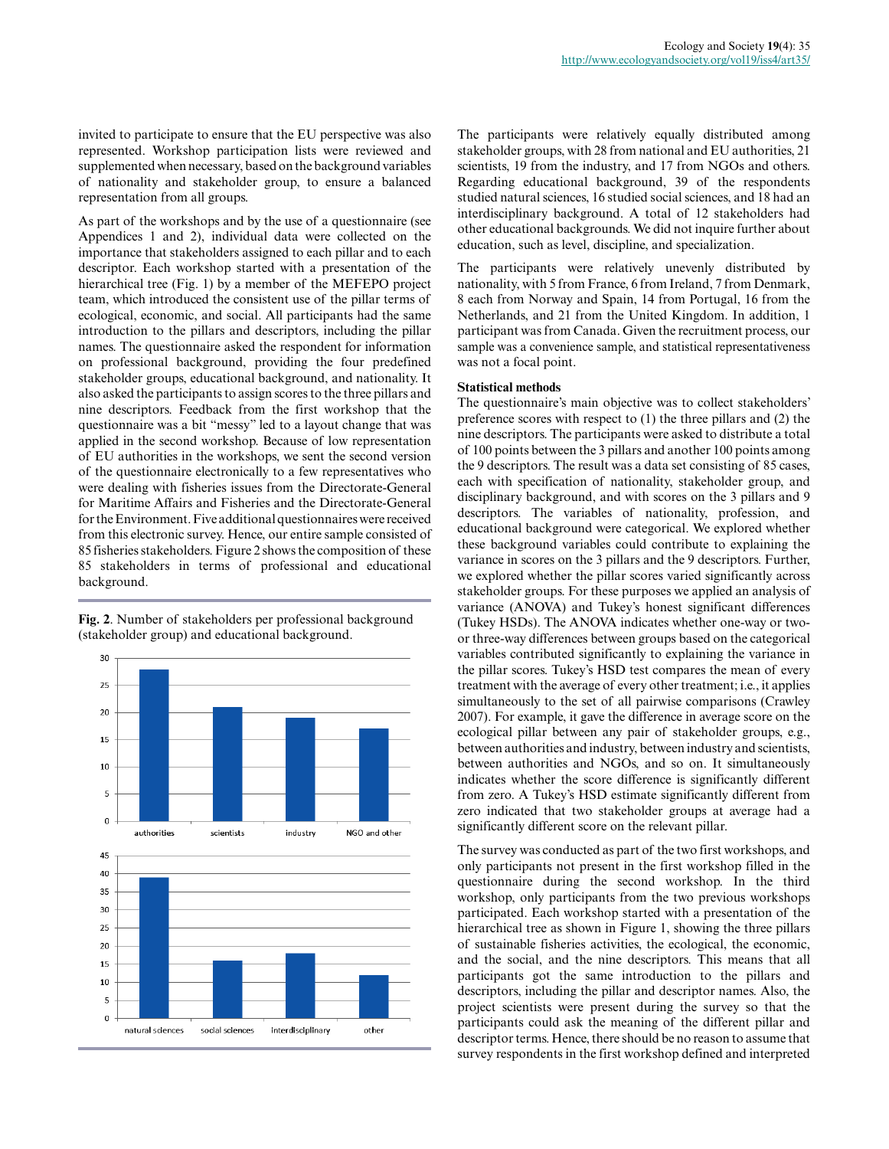invited to participate to ensure that the EU perspective was also represented. Workshop participation lists were reviewed and supplemented when necessary, based on the background variables of nationality and stakeholder group, to ensure a balanced representation from all groups.

As part of the workshops and by the use of a questionnaire (see Appendices 1 and 2), individual data were collected on the importance that stakeholders assigned to each pillar and to each descriptor. Each workshop started with a presentation of the hierarchical tree (Fig. 1) by a member of the MEFEPO project team, which introduced the consistent use of the pillar terms of ecological, economic, and social. All participants had the same introduction to the pillars and descriptors, including the pillar names. The questionnaire asked the respondent for information on professional background, providing the four predefined stakeholder groups, educational background, and nationality. It also asked the participants to assign scores to the three pillars and nine descriptors. Feedback from the first workshop that the questionnaire was a bit "messy" led to a layout change that was applied in the second workshop. Because of low representation of EU authorities in the workshops, we sent the second version of the questionnaire electronically to a few representatives who were dealing with fisheries issues from the Directorate-General for Maritime Affairs and Fisheries and the Directorate-General for the Environment. Five additional questionnaires were received from this electronic survey. Hence, our entire sample consisted of 85 fisheries stakeholders. Figure 2 shows the composition of these 85 stakeholders in terms of professional and educational background.

**Fig. 2**. Number of stakeholders per professional background (stakeholder group) and educational background.



The participants were relatively equally distributed among stakeholder groups, with 28 from national and EU authorities, 21 scientists, 19 from the industry, and 17 from NGOs and others. Regarding educational background, 39 of the respondents studied natural sciences, 16 studied social sciences, and 18 had an interdisciplinary background. A total of 12 stakeholders had other educational backgrounds. We did not inquire further about education, such as level, discipline, and specialization.

The participants were relatively unevenly distributed by nationality, with 5 from France, 6 from Ireland, 7 from Denmark, 8 each from Norway and Spain, 14 from Portugal, 16 from the Netherlands, and 21 from the United Kingdom. In addition, 1 participant was from Canada. Given the recruitment process, our sample was a convenience sample, and statistical representativeness was not a focal point.

#### **Statistical methods**

The questionnaire's main objective was to collect stakeholders' preference scores with respect to (1) the three pillars and (2) the nine descriptors. The participants were asked to distribute a total of 100 points between the 3 pillars and another 100 points among the 9 descriptors. The result was a data set consisting of 85 cases, each with specification of nationality, stakeholder group, and disciplinary background, and with scores on the 3 pillars and 9 descriptors. The variables of nationality, profession, and educational background were categorical. We explored whether these background variables could contribute to explaining the variance in scores on the 3 pillars and the 9 descriptors. Further, we explored whether the pillar scores varied significantly across stakeholder groups. For these purposes we applied an analysis of variance (ANOVA) and Tukey's honest significant differences (Tukey HSDs). The ANOVA indicates whether one-way or twoor three-way differences between groups based on the categorical variables contributed significantly to explaining the variance in the pillar scores. Tukey's HSD test compares the mean of every treatment with the average of every other treatment; i.e., it applies simultaneously to the set of all pairwise comparisons (Crawley 2007). For example, it gave the difference in average score on the ecological pillar between any pair of stakeholder groups, e.g., between authorities and industry, between industry and scientists, between authorities and NGOs, and so on. It simultaneously indicates whether the score difference is significantly different from zero. A Tukey's HSD estimate significantly different from zero indicated that two stakeholder groups at average had a significantly different score on the relevant pillar.

The survey was conducted as part of the two first workshops, and only participants not present in the first workshop filled in the questionnaire during the second workshop. In the third workshop, only participants from the two previous workshops participated. Each workshop started with a presentation of the hierarchical tree as shown in Figure 1, showing the three pillars of sustainable fisheries activities, the ecological, the economic, and the social, and the nine descriptors. This means that all participants got the same introduction to the pillars and descriptors, including the pillar and descriptor names. Also, the project scientists were present during the survey so that the participants could ask the meaning of the different pillar and descriptor terms. Hence, there should be no reason to assume that survey respondents in the first workshop defined and interpreted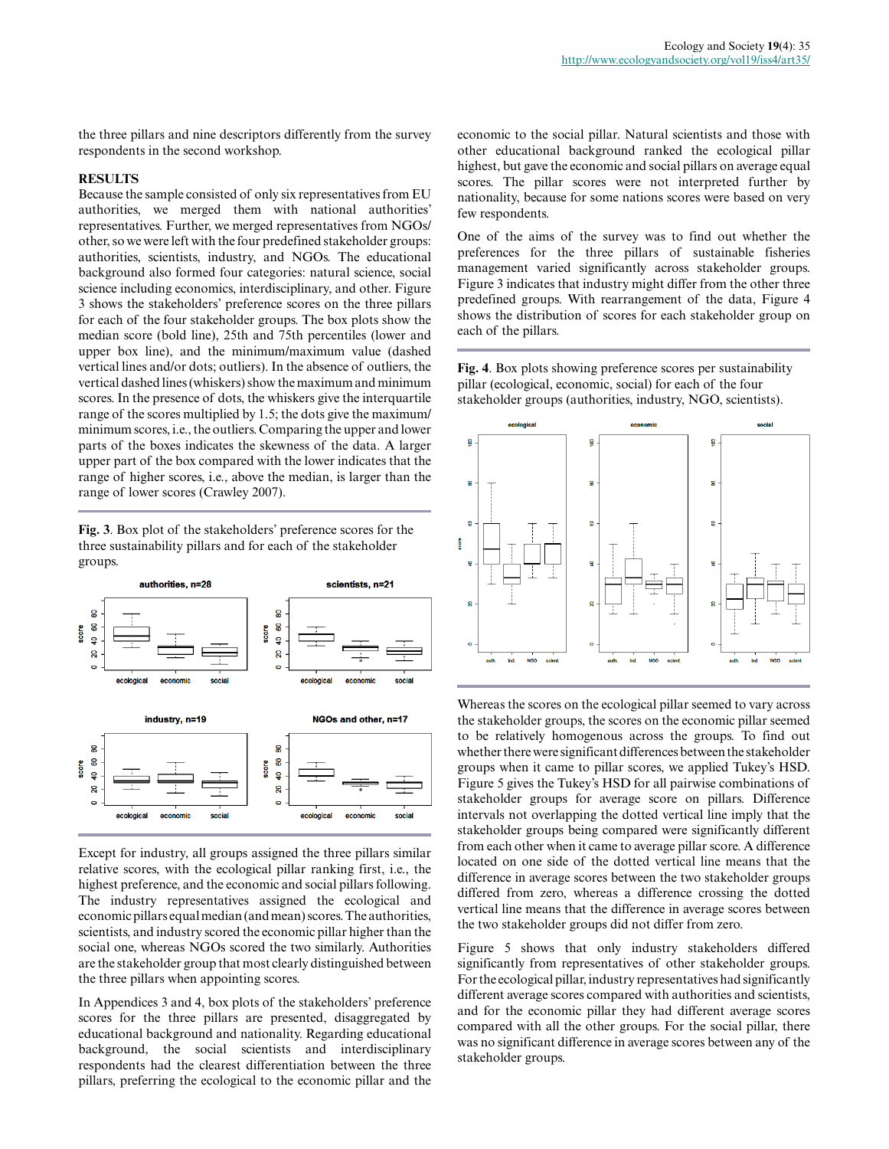the three pillars and nine descriptors differently from the survey respondents in the second workshop.

#### **RESULTS**

Because the sample consisted of only six representatives from EU authorities, we merged them with national authorities' representatives. Further, we merged representatives from NGOs/ other, so we were left with the four predefined stakeholder groups: authorities, scientists, industry, and NGOs. The educational background also formed four categories: natural science, social science including economics, interdisciplinary, and other. Figure 3 shows the stakeholders' preference scores on the three pillars for each of the four stakeholder groups. The box plots show the median score (bold line), 25th and 75th percentiles (lower and upper box line), and the minimum/maximum value (dashed vertical lines and/or dots; outliers). In the absence of outliers, the vertical dashed lines (whiskers) show the maximum and minimum scores. In the presence of dots, the whiskers give the interquartile range of the scores multiplied by 1.5; the dots give the maximum/ minimum scores, i.e., the outliers. Comparing the upper and lower parts of the boxes indicates the skewness of the data. A larger upper part of the box compared with the lower indicates that the range of higher scores, i.e., above the median, is larger than the range of lower scores (Crawley 2007).

**Fig. 3**. Box plot of the stakeholders' preference scores for the three sustainability pillars and for each of the stakeholder groups.



Except for industry, all groups assigned the three pillars similar relative scores, with the ecological pillar ranking first, i.e., the highest preference, and the economic and social pillars following. The industry representatives assigned the ecological and economic pillars equal median (and mean) scores. The authorities, scientists, and industry scored the economic pillar higher than the social one, whereas NGOs scored the two similarly. Authorities are the stakeholder group that most clearly distinguished between the three pillars when appointing scores.

In Appendices 3 and 4, box plots of the stakeholders' preference scores for the three pillars are presented, disaggregated by educational background and nationality. Regarding educational background, the social scientists and interdisciplinary respondents had the clearest differentiation between the three pillars, preferring the ecological to the economic pillar and the economic to the social pillar. Natural scientists and those with other educational background ranked the ecological pillar highest, but gave the economic and social pillars on average equal scores. The pillar scores were not interpreted further by nationality, because for some nations scores were based on very few respondents.

One of the aims of the survey was to find out whether the preferences for the three pillars of sustainable fisheries management varied significantly across stakeholder groups. Figure 3 indicates that industry might differ from the other three predefined groups. With rearrangement of the data, Figure 4 shows the distribution of scores for each stakeholder group on each of the pillars.

**Fig. 4**. Box plots showing preference scores per sustainability pillar (ecological, economic, social) for each of the four stakeholder groups (authorities, industry, NGO, scientists).



Whereas the scores on the ecological pillar seemed to vary across the stakeholder groups, the scores on the economic pillar seemed to be relatively homogenous across the groups. To find out whether there were significant differences between the stakeholder groups when it came to pillar scores, we applied Tukey's HSD. Figure 5 gives the Tukey's HSD for all pairwise combinations of stakeholder groups for average score on pillars. Difference intervals not overlapping the dotted vertical line imply that the stakeholder groups being compared were significantly different from each other when it came to average pillar score. A difference located on one side of the dotted vertical line means that the difference in average scores between the two stakeholder groups differed from zero, whereas a difference crossing the dotted vertical line means that the difference in average scores between the two stakeholder groups did not differ from zero.

Figure 5 shows that only industry stakeholders differed significantly from representatives of other stakeholder groups. For the ecological pillar, industry representatives had significantly different average scores compared with authorities and scientists, and for the economic pillar they had different average scores compared with all the other groups. For the social pillar, there was no significant difference in average scores between any of the stakeholder groups.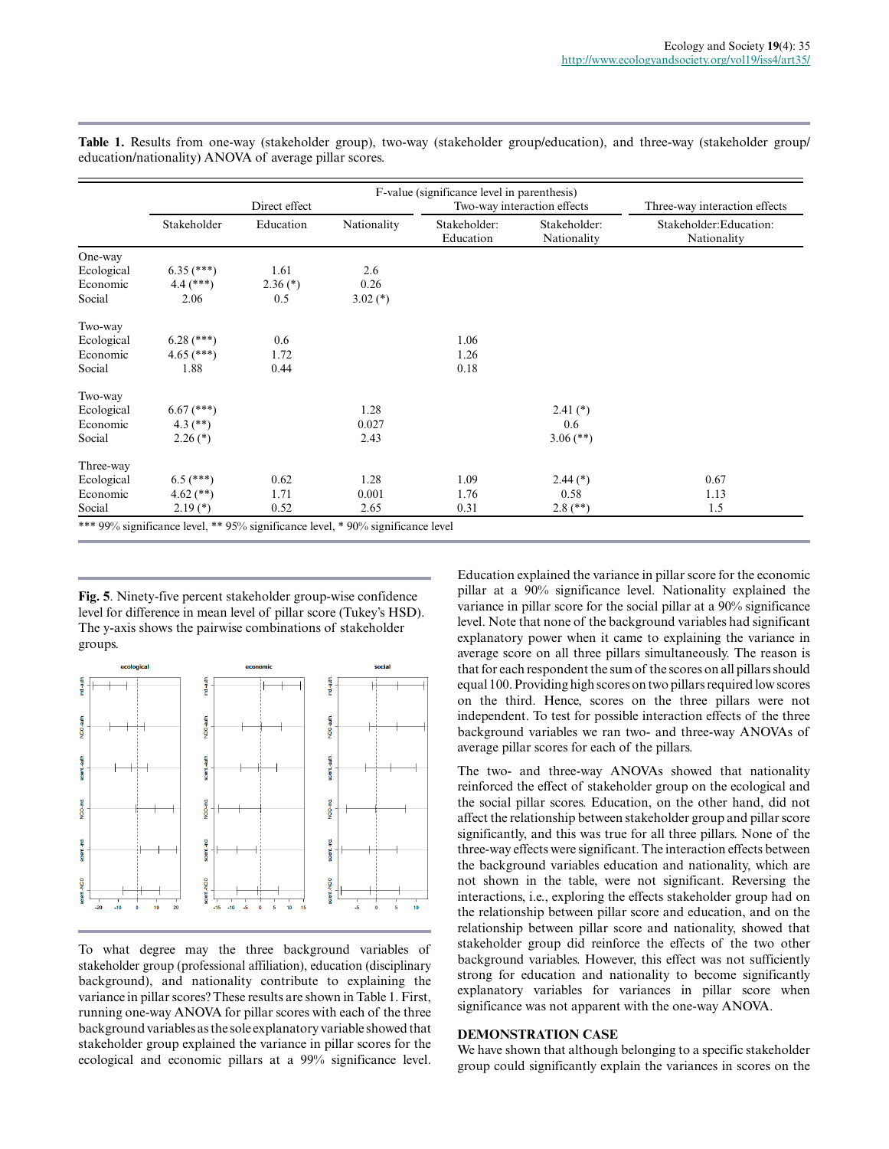|            | F-value (significance level in parenthesis) |            |             |                             |                             |                                        |
|------------|---------------------------------------------|------------|-------------|-----------------------------|-----------------------------|----------------------------------------|
|            | Direct effect                               |            |             | Two-way interaction effects |                             | Three-way interaction effects          |
|            | Stakeholder                                 | Education  | Nationality | Stakeholder:<br>Education   | Stakeholder:<br>Nationality | Stakeholder: Education:<br>Nationality |
| One-way    |                                             |            |             |                             |                             |                                        |
| Ecological | $6.35$ (***)                                | 1.61       | 2.6         |                             |                             |                                        |
| Economic   | $4.4$ (***)                                 | $2.36$ (*) | 0.26        |                             |                             |                                        |
| Social     | 2.06                                        | 0.5        | $3.02$ (*)  |                             |                             |                                        |
| Two-way    |                                             |            |             |                             |                             |                                        |
| Ecological | $6.28$ (***)                                | 0.6        |             | 1.06                        |                             |                                        |
| Economic   | $4.65$ (***)                                | 1.72       |             | 1.26                        |                             |                                        |
| Social     | 1.88                                        | 0.44       |             | 0.18                        |                             |                                        |
| Two-way    |                                             |            |             |                             |                             |                                        |
| Ecological | $6.67$ (***)                                |            | 1.28        |                             | $2.41$ (*)                  |                                        |
| Economic   | $4.3$ (**)                                  |            | 0.027       |                             | 0.6                         |                                        |
| Social     | $2.26$ (*)                                  |            | 2.43        |                             | $3.06$ (**)                 |                                        |
| Three-way  |                                             |            |             |                             |                             |                                        |
| Ecological | $6.5$ (***)                                 | 0.62       | 1.28        | 1.09                        | $2.44$ (*)                  | 0.67                                   |
| Economic   | $4.62$ (**)                                 | 1.71       | 0.001       | 1.76                        | 0.58                        | 1.13                                   |
| Social     | $2.19(*)$                                   | 0.52       | 2.65        | 0.31                        | $2.8$ (**)                  | 1.5                                    |

**Table 1.** Results from one-way (stakeholder group), two-way (stakeholder group/education), and three-way (stakeholder group/ education/nationality) ANOVA of average pillar scores.

**Fig. 5**. Ninety-five percent stakeholder group-wise confidence level for difference in mean level of pillar score (Tukey's HSD). The y-axis shows the pairwise combinations of stakeholder groups.



To what degree may the three background variables of stakeholder group (professional affiliation), education (disciplinary background), and nationality contribute to explaining the variance in pillar scores? These results are shown in Table 1. First, running one-way ANOVA for pillar scores with each of the three background variables as the sole explanatory variable showed that stakeholder group explained the variance in pillar scores for the ecological and economic pillars at a 99% significance level.

Education explained the variance in pillar score for the economic pillar at a 90% significance level. Nationality explained the variance in pillar score for the social pillar at a 90% significance level. Note that none of the background variables had significant explanatory power when it came to explaining the variance in average score on all three pillars simultaneously. The reason is that for each respondent the sum of the scores on all pillars should equal 100. Providing high scores on two pillars required low scores on the third. Hence, scores on the three pillars were not independent. To test for possible interaction effects of the three background variables we ran two- and three-way ANOVAs of average pillar scores for each of the pillars.

The two- and three-way ANOVAs showed that nationality reinforced the effect of stakeholder group on the ecological and the social pillar scores. Education, on the other hand, did not affect the relationship between stakeholder group and pillar score significantly, and this was true for all three pillars. None of the three-way effects were significant. The interaction effects between the background variables education and nationality, which are not shown in the table, were not significant. Reversing the interactions, i.e., exploring the effects stakeholder group had on the relationship between pillar score and education, and on the relationship between pillar score and nationality, showed that stakeholder group did reinforce the effects of the two other background variables. However, this effect was not sufficiently strong for education and nationality to become significantly explanatory variables for variances in pillar score when significance was not apparent with the one-way ANOVA.

#### **DEMONSTRATION CASE**

We have shown that although belonging to a specific stakeholder group could significantly explain the variances in scores on the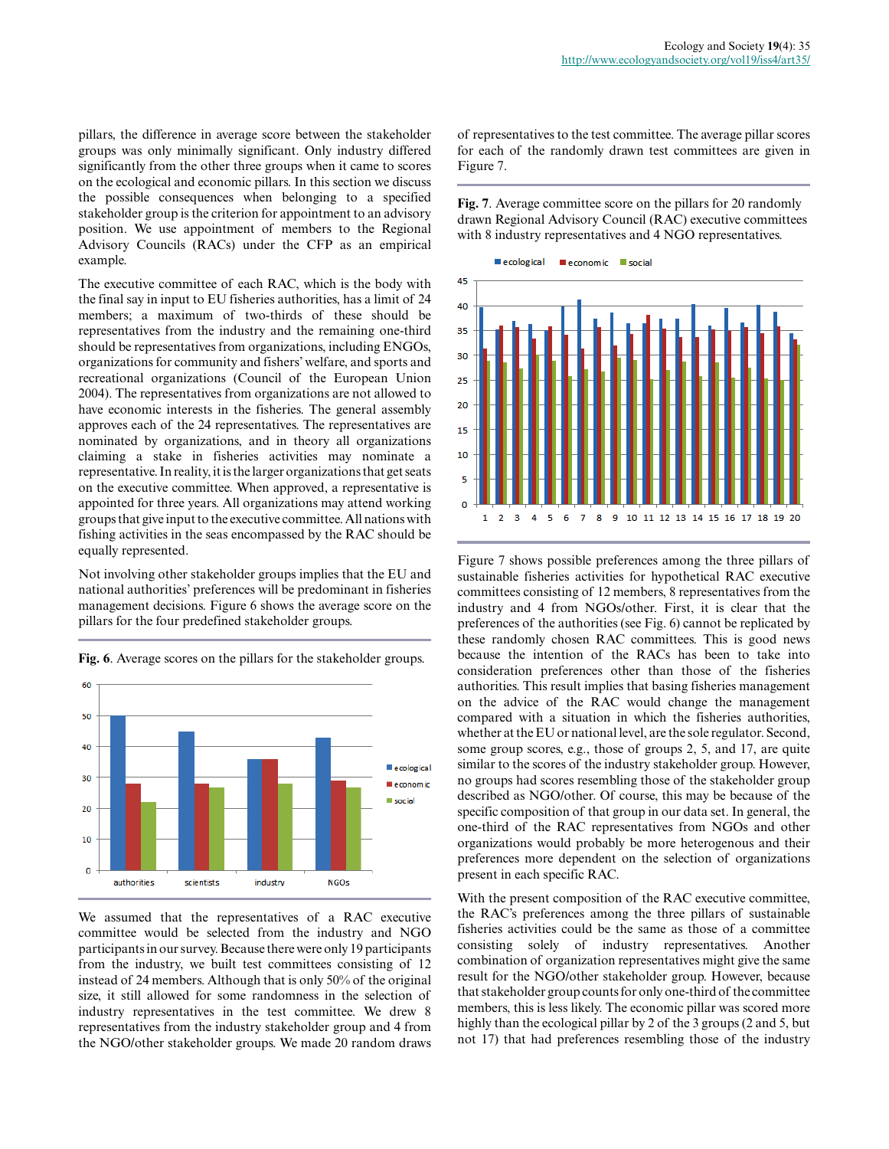pillars, the difference in average score between the stakeholder groups was only minimally significant. Only industry differed significantly from the other three groups when it came to scores on the ecological and economic pillars. In this section we discuss the possible consequences when belonging to a specified stakeholder group is the criterion for appointment to an advisory position. We use appointment of members to the Regional Advisory Councils (RACs) under the CFP as an empirical example.

The executive committee of each RAC, which is the body with the final say in input to EU fisheries authorities, has a limit of 24 members; a maximum of two-thirds of these should be representatives from the industry and the remaining one-third should be representatives from organizations, including ENGOs, organizations for community and fishers' welfare, and sports and recreational organizations (Council of the European Union 2004). The representatives from organizations are not allowed to have economic interests in the fisheries. The general assembly approves each of the 24 representatives. The representatives are nominated by organizations, and in theory all organizations claiming a stake in fisheries activities may nominate a representative. In reality, it is the larger organizations that get seats on the executive committee. When approved, a representative is appointed for three years. All organizations may attend working groups that give input to the executive committee. All nations with fishing activities in the seas encompassed by the RAC should be equally represented.

Not involving other stakeholder groups implies that the EU and national authorities' preferences will be predominant in fisheries management decisions. Figure 6 shows the average score on the pillars for the four predefined stakeholder groups.

**Fig. 6**. Average scores on the pillars for the stakeholder groups.



We assumed that the representatives of a RAC executive committee would be selected from the industry and NGO participants in our survey. Because there were only 19 participants from the industry, we built test committees consisting of 12 instead of 24 members. Although that is only 50% of the original size, it still allowed for some randomness in the selection of industry representatives in the test committee. We drew 8 representatives from the industry stakeholder group and 4 from the NGO/other stakeholder groups. We made 20 random draws

of representatives to the test committee. The average pillar scores for each of the randomly drawn test committees are given in Figure 7.

**Fig. 7**. Average committee score on the pillars for 20 randomly drawn Regional Advisory Council (RAC) executive committees with 8 industry representatives and 4 NGO representatives.



Figure 7 shows possible preferences among the three pillars of sustainable fisheries activities for hypothetical RAC executive committees consisting of 12 members, 8 representatives from the industry and 4 from NGOs/other. First, it is clear that the preferences of the authorities (see Fig. 6) cannot be replicated by these randomly chosen RAC committees. This is good news because the intention of the RACs has been to take into consideration preferences other than those of the fisheries authorities. This result implies that basing fisheries management on the advice of the RAC would change the management compared with a situation in which the fisheries authorities, whether at the EU or national level, are the sole regulator. Second, some group scores, e.g., those of groups 2, 5, and 17, are quite similar to the scores of the industry stakeholder group. However, no groups had scores resembling those of the stakeholder group described as NGO/other. Of course, this may be because of the specific composition of that group in our data set. In general, the one-third of the RAC representatives from NGOs and other organizations would probably be more heterogenous and their preferences more dependent on the selection of organizations present in each specific RAC.

With the present composition of the RAC executive committee, the RAC's preferences among the three pillars of sustainable fisheries activities could be the same as those of a committee consisting solely of industry representatives. Another combination of organization representatives might give the same result for the NGO/other stakeholder group. However, because that stakeholder group counts for only one-third of the committee members, this is less likely. The economic pillar was scored more highly than the ecological pillar by 2 of the 3 groups (2 and 5, but not 17) that had preferences resembling those of the industry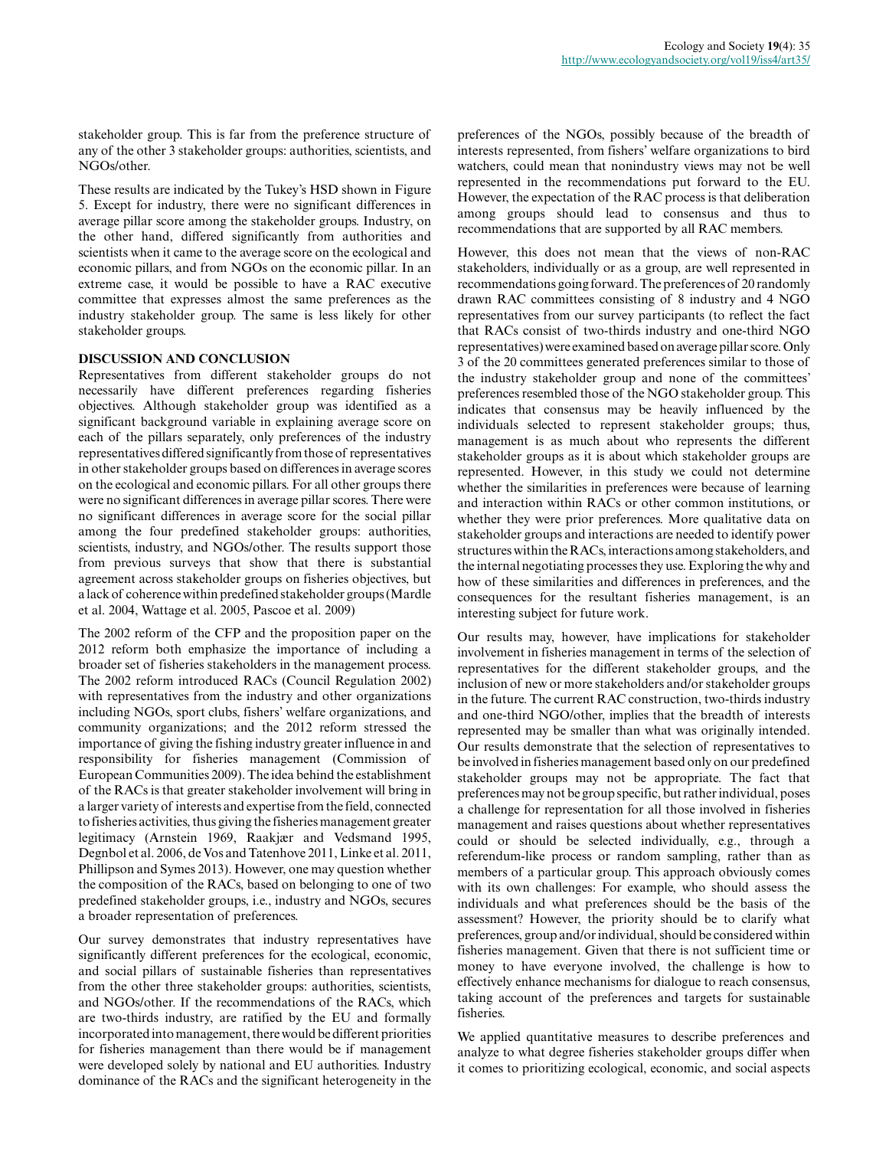stakeholder group. This is far from the preference structure of any of the other 3 stakeholder groups: authorities, scientists, and NGOs/other.

These results are indicated by the Tukey's HSD shown in Figure 5. Except for industry, there were no significant differences in average pillar score among the stakeholder groups. Industry, on the other hand, differed significantly from authorities and scientists when it came to the average score on the ecological and economic pillars, and from NGOs on the economic pillar. In an extreme case, it would be possible to have a RAC executive committee that expresses almost the same preferences as the industry stakeholder group. The same is less likely for other stakeholder groups.

#### **DISCUSSION AND CONCLUSION**

Representatives from different stakeholder groups do not necessarily have different preferences regarding fisheries objectives. Although stakeholder group was identified as a significant background variable in explaining average score on each of the pillars separately, only preferences of the industry representatives differed significantly from those of representatives in other stakeholder groups based on differences in average scores on the ecological and economic pillars. For all other groups there were no significant differences in average pillar scores. There were no significant differences in average score for the social pillar among the four predefined stakeholder groups: authorities, scientists, industry, and NGOs/other. The results support those from previous surveys that show that there is substantial agreement across stakeholder groups on fisheries objectives, but a lack of coherence within predefined stakeholder groups (Mardle et al. 2004, Wattage et al. 2005, Pascoe et al. 2009)

The 2002 reform of the CFP and the proposition paper on the 2012 reform both emphasize the importance of including a broader set of fisheries stakeholders in the management process. The 2002 reform introduced RACs (Council Regulation 2002) with representatives from the industry and other organizations including NGOs, sport clubs, fishers' welfare organizations, and community organizations; and the 2012 reform stressed the importance of giving the fishing industry greater influence in and responsibility for fisheries management (Commission of European Communities 2009). The idea behind the establishment of the RACs is that greater stakeholder involvement will bring in a larger variety of interests and expertise from the field, connected to fisheries activities, thus giving the fisheries management greater legitimacy (Arnstein 1969, Raakjær and Vedsmand 1995, Degnbol et al. 2006, de Vos and Tatenhove 2011, Linke et al. 2011, Phillipson and Symes 2013). However, one may question whether the composition of the RACs, based on belonging to one of two predefined stakeholder groups, i.e., industry and NGOs, secures a broader representation of preferences.

Our survey demonstrates that industry representatives have significantly different preferences for the ecological, economic, and social pillars of sustainable fisheries than representatives from the other three stakeholder groups: authorities, scientists, and NGOs/other. If the recommendations of the RACs, which are two-thirds industry, are ratified by the EU and formally incorporated into management, there would be different priorities for fisheries management than there would be if management were developed solely by national and EU authorities. Industry dominance of the RACs and the significant heterogeneity in the

preferences of the NGOs, possibly because of the breadth of interests represented, from fishers' welfare organizations to bird watchers, could mean that nonindustry views may not be well represented in the recommendations put forward to the EU. However, the expectation of the RAC process is that deliberation among groups should lead to consensus and thus to recommendations that are supported by all RAC members.

However, this does not mean that the views of non-RAC stakeholders, individually or as a group, are well represented in recommendations going forward. The preferences of 20 randomly drawn RAC committees consisting of 8 industry and 4 NGO representatives from our survey participants (to reflect the fact that RACs consist of two-thirds industry and one-third NGO representatives) were examined based on average pillar score. Only 3 of the 20 committees generated preferences similar to those of the industry stakeholder group and none of the committees' preferences resembled those of the NGO stakeholder group. This indicates that consensus may be heavily influenced by the individuals selected to represent stakeholder groups; thus, management is as much about who represents the different stakeholder groups as it is about which stakeholder groups are represented. However, in this study we could not determine whether the similarities in preferences were because of learning and interaction within RACs or other common institutions, or whether they were prior preferences. More qualitative data on stakeholder groups and interactions are needed to identify power structures within the RACs, interactions among stakeholders, and the internal negotiating processes they use. Exploring the why and how of these similarities and differences in preferences, and the consequences for the resultant fisheries management, is an interesting subject for future work.

Our results may, however, have implications for stakeholder involvement in fisheries management in terms of the selection of representatives for the different stakeholder groups, and the inclusion of new or more stakeholders and/or stakeholder groups in the future. The current RAC construction, two-thirds industry and one-third NGO/other, implies that the breadth of interests represented may be smaller than what was originally intended. Our results demonstrate that the selection of representatives to be involved in fisheries management based only on our predefined stakeholder groups may not be appropriate. The fact that preferences may not be group specific, but rather individual, poses a challenge for representation for all those involved in fisheries management and raises questions about whether representatives could or should be selected individually, e.g., through a referendum-like process or random sampling, rather than as members of a particular group. This approach obviously comes with its own challenges: For example, who should assess the individuals and what preferences should be the basis of the assessment? However, the priority should be to clarify what preferences, group and/or individual, should be considered within fisheries management. Given that there is not sufficient time or money to have everyone involved, the challenge is how to effectively enhance mechanisms for dialogue to reach consensus, taking account of the preferences and targets for sustainable fisheries.

We applied quantitative measures to describe preferences and analyze to what degree fisheries stakeholder groups differ when it comes to prioritizing ecological, economic, and social aspects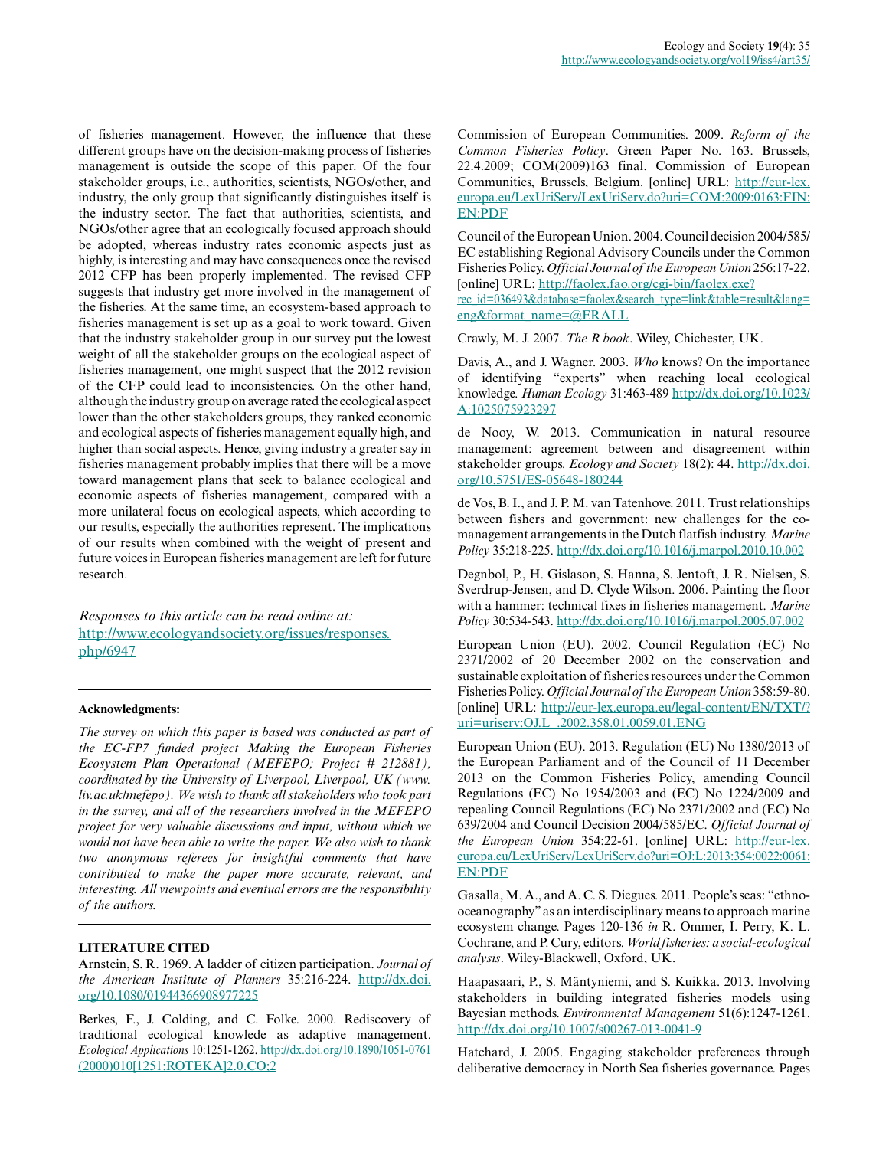Ecology and Society **19**(4): 35

of fisheries management. However, the influence that these different groups have on the decision-making process of fisheries management is outside the scope of this paper. Of the four stakeholder groups, i.e., authorities, scientists, NGOs/other, and industry, the only group that significantly distinguishes itself is the industry sector. The fact that authorities, scientists, and NGOs/other agree that an ecologically focused approach should be adopted, whereas industry rates economic aspects just as highly, is interesting and may have consequences once the revised 2012 CFP has been properly implemented. The revised CFP suggests that industry get more involved in the management of the fisheries. At the same time, an ecosystem-based approach to fisheries management is set up as a goal to work toward. Given that the industry stakeholder group in our survey put the lowest weight of all the stakeholder groups on the ecological aspect of fisheries management, one might suspect that the 2012 revision of the CFP could lead to inconsistencies. On the other hand, although the industry group on average rated the ecological aspect lower than the other stakeholders groups, they ranked economic and ecological aspects of fisheries management equally high, and higher than social aspects. Hence, giving industry a greater say in fisheries management probably implies that there will be a move toward management plans that seek to balance ecological and economic aspects of fisheries management, compared with a more unilateral focus on ecological aspects, which according to our results, especially the authorities represent. The implications of our results when combined with the weight of present and future voices in European fisheries management are left for future research.

*Responses to this article can be read online at:* [http://www.ecologyandsociety.org/issues/responses.](http://www.ecologyandsociety.org/issues/responses.php/6947) [php/6947](http://www.ecologyandsociety.org/issues/responses.php/6947)

#### **Acknowledgments:**

*The survey on which this paper is based was conducted as part of the EC-FP7 funded project Making the European Fisheries Ecosystem Plan Operational (MEFEPO; Project # 212881), coordinated by the University of Liverpool, Liverpool, UK (www. liv.ac.uk/mefepo). We wish to thank all stakeholders who took part in the survey, and all of the researchers involved in the MEFEPO project for very valuable discussions and input, without which we would not have been able to write the paper. We also wish to thank two anonymous referees for insightful comments that have contributed to make the paper more accurate, relevant, and interesting. All viewpoints and eventual errors are the responsibility of the authors.*

#### **LITERATURE CITED**

Arnstein, S. R. 1969. A ladder of citizen participation. *Journal of the American Institute of Planners* 35:216-224. [http://dx.doi.](http://dx.doi.org/10.1080%2F01944366908977225) [org/10.1080/01944366908977225](http://dx.doi.org/10.1080%2F01944366908977225) 

Berkes, F., J. Colding, and C. Folke. 2000. Rediscovery of traditional ecological knowlede as adaptive management. *Ecological Applications* 10:1251-1262. [http://dx.doi.org/10.1890/1051-0761](http://dx.doi.org/10.1890%2F1051-0761%282000%29010%5B1251%3AROTEKA%5D2.0.CO%3B2) [\(2000\)010\[1251:ROTEKA\]2.0.CO;2](http://dx.doi.org/10.1890%2F1051-0761%282000%29010%5B1251%3AROTEKA%5D2.0.CO%3B2)

Commission of European Communities. 2009. *Reform of the Common Fisheries Policy*. Green Paper No. 163. Brussels, 22.4.2009; COM(2009)163 final. Commission of European Communities, Brussels, Belgium. [online] URL: [http://eur-lex.](http://eur-lex.europa.eu/LexUriServ/LexUriServ.do?uri=COM:2009:0163:FIN:EN:PDF) [europa.eu/LexUriServ/LexUriServ.do?uri=COM:2009:0163:FIN:](http://eur-lex.europa.eu/LexUriServ/LexUriServ.do?uri=COM:2009:0163:FIN:EN:PDF) [EN:PDF](http://eur-lex.europa.eu/LexUriServ/LexUriServ.do?uri=COM:2009:0163:FIN:EN:PDF) 

Council of the European Union. 2004. Council decision 2004/585/ EC establishing Regional Advisory Councils under the Common Fisheries Policy. *Official Journal of the European Union* 256:17-22. [online] URL: [http://faolex.fao.org/cgi-bin/faolex.exe?](http://faolex.fao.org/cgi-bin/faolex.exe?rec_id=036493&database=faolex&search_type=link&table=result&lang=eng&format_name=@ERALL)

[rec\\_id=036493&database=faolex&search\\_type=link&table=result&lang=](http://faolex.fao.org/cgi-bin/faolex.exe?rec_id=036493&database=faolex&search_type=link&table=result&lang=eng&format_name=@ERALL) [eng&format\\_name=@ERALL](http://faolex.fao.org/cgi-bin/faolex.exe?rec_id=036493&database=faolex&search_type=link&table=result&lang=eng&format_name=@ERALL) 

Crawly, M. J. 2007. *The R book*. Wiley, Chichester, UK.

Davis, A., and J. Wagner. 2003. *Who* knows? On the importance of identifying "experts" when reaching local ecological knowledge. *Human Ecology* 31:463-489 [http://dx.doi.org/10.1023/](http://dx.doi.org/10.1023%2FA%3A1025075923297) [A:1025075923297](http://dx.doi.org/10.1023%2FA%3A1025075923297) 

de Nooy, W. 2013. Communication in natural resource management: agreement between and disagreement within stakeholder groups. *Ecology and Society* 18(2): 44. [http://dx.doi.](http://dx.doi.org/10.5751/ES-05648-180244) [org/10.5751/ES-05648-180244](http://dx.doi.org/10.5751/ES-05648-180244) 

de Vos, B. I., and J. P. M. van Tatenhove. 2011. Trust relationships between fishers and government: new challenges for the comanagement arrangements in the Dutch flatfish industry. *Marine Policy* 35:218-225. [http://dx.doi.org/10.1016/j.marpol.2010.10.002](http://dx.doi.org/10.1016%2Fj.marpol.2010.10.002) 

Degnbol, P., H. Gislason, S. Hanna, S. Jentoft, J. R. Nielsen, S. Sverdrup-Jensen, and D. Clyde Wilson. 2006. Painting the floor with a hammer: technical fixes in fisheries management. *Marine Policy* 30:534-543. [http://dx.doi.org/10.1016/j.marpol.2005.07.002](http://dx.doi.org/10.1016%2Fj.marpol.2005.07.002) 

European Union (EU). 2002. Council Regulation (EC) No 2371/2002 of 20 December 2002 on the conservation and sustainable exploitation of fisheries resources under the Common Fisheries Policy. *Official Journal of the European Union* 358:59-80. [online] URL: [http://eur-lex.europa.eu/legal-content/EN/TXT/?](http://eur-lex.europa.eu/legal-content/EN/TXT/?uri=uriserv:OJ.L_.2002.358.01.0059.01.ENG) [uri=uriserv:OJ.L\\_.2002.358.01.0059.01.ENG](http://eur-lex.europa.eu/legal-content/EN/TXT/?uri=uriserv:OJ.L_.2002.358.01.0059.01.ENG)

European Union (EU). 2013. Regulation (EU) No 1380/2013 of the European Parliament and of the Council of 11 December 2013 on the Common Fisheries Policy, amending Council Regulations (EC) No 1954/2003 and (EC) No 1224/2009 and repealing Council Regulations (EC) No 2371/2002 and (EC) No 639/2004 and Council Decision 2004/585/EC. *Official Journal of the European Union* 354:22-61. [online] URL: [http://eur-lex.](http://eur-lex.europa.eu/LexUriServ/LexUriServ.do?uri=OJ:L:2013:354:0022:0061:EN:PDF) [europa.eu/LexUriServ/LexUriServ.do?uri=OJ:L:2013:354:0022:0061:](http://eur-lex.europa.eu/LexUriServ/LexUriServ.do?uri=OJ:L:2013:354:0022:0061:EN:PDF) [EN:PDF](http://eur-lex.europa.eu/LexUriServ/LexUriServ.do?uri=OJ:L:2013:354:0022:0061:EN:PDF) 

Gasalla, M. A., and A. C. S. Diegues. 2011. People's seas: "ethnooceanography" as an interdisciplinary means to approach marine ecosystem change. Pages 120-136 *in* R. Ommer, I. Perry, K. L. Cochrane, and P. Cury, editors. *World fisheries: a social-ecological analysis*. Wiley-Blackwell, Oxford, UK.

Haapasaari, P., S. Mäntyniemi, and S. Kuikka. 2013. Involving stakeholders in building integrated fisheries models using Bayesian methods. *Environmental Management* 51(6):1247-1261. <http://dx.doi.org/10.1007/s00267-013-0041-9>

Hatchard, J. 2005. Engaging stakeholder preferences through deliberative democracy in North Sea fisheries governance. Pages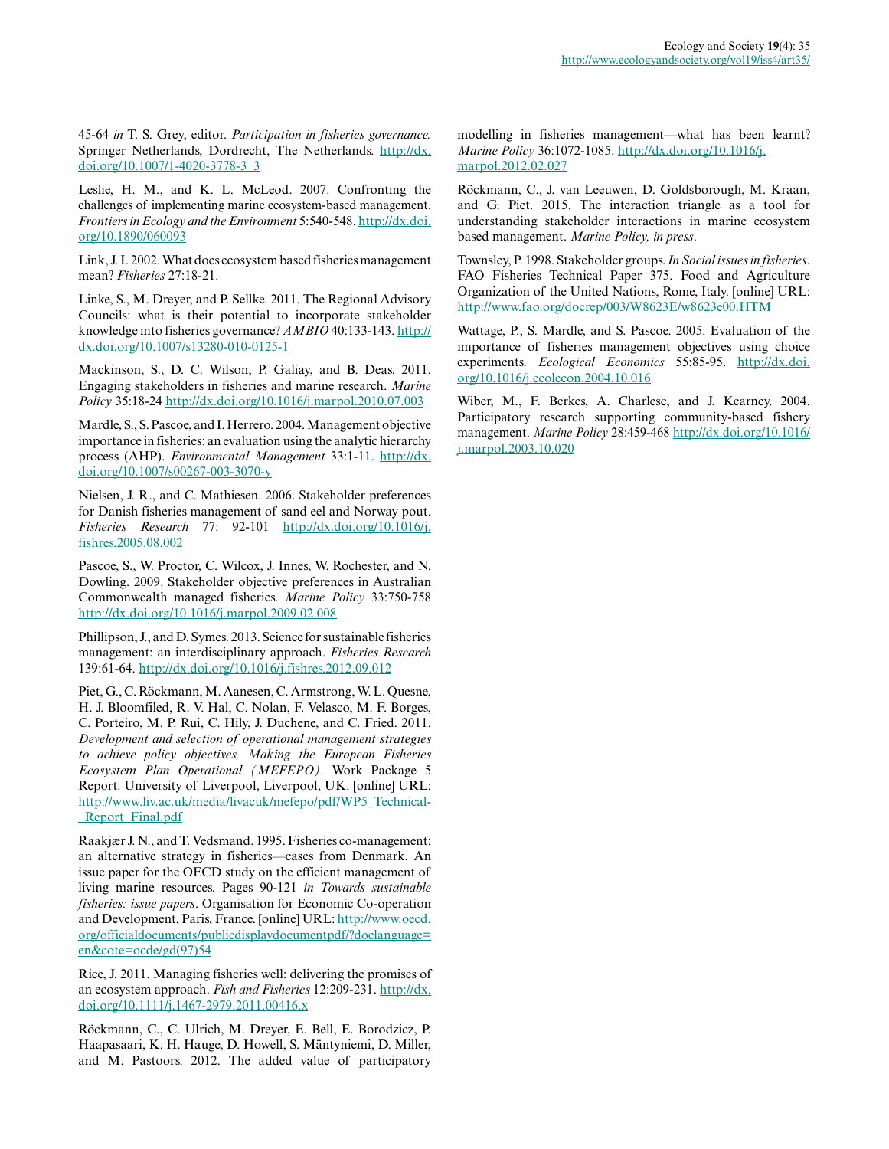45-64 *in* T. S. Grey, editor. *Participation in fisheries governance.* Springer Netherlands, Dordrecht, The Netherlands. [http://dx.](http://dx.doi.org/10.1007%2F1-4020-3778-3_3) [doi.org/10.1007/1-4020-3778-3\\_3](http://dx.doi.org/10.1007%2F1-4020-3778-3_3) 

Leslie, H. M., and K. L. McLeod. 2007. Confronting the challenges of implementing marine ecosystem-based management. *Frontiers in Ecology and the Environment* 5:540-548. [http://dx.doi.](http://dx.doi.org/10.1890%2F060093) [org/10.1890/060093](http://dx.doi.org/10.1890%2F060093)

Link, J. I. 2002. What does ecosystem based fisheries management mean? *Fisheries* 27:18-21.

Linke, S., M. Dreyer, and P. Sellke. 2011. The Regional Advisory Councils: what is their potential to incorporate stakeholder knowledge into fisheries governance? *AMBIO* 40:133-143. [http://](http://dx.doi.org/10.1007%2Fs13280-010-0125-1) [dx.doi.org/10.1007/s13280-010-0125-1](http://dx.doi.org/10.1007%2Fs13280-010-0125-1) 

Mackinson, S., D. C. Wilson, P. Galiay, and B. Deas. 2011. Engaging stakeholders in fisheries and marine research. *Marine Policy* 35:18-24 [http://dx.doi.org/10.1016/j.marpol.2010.07.003](http://dx.doi.org/10.1016%2Fj.marpol.2010.07.003) 

Mardle, S., S. Pascoe, and I. Herrero. 2004. Management objective importance in fisheries: an evaluation using the analytic hierarchy process (AHP). *Environmental Management* 33:1-11. [http://dx.](http://dx.doi.org/10.1007%2Fs00267-003-3070-y) [doi.org/10.1007/s00267-003-3070-y](http://dx.doi.org/10.1007%2Fs00267-003-3070-y) 

Nielsen, J. R., and C. Mathiesen. 2006. Stakeholder preferences for Danish fisheries management of sand eel and Norway pout. *Fisheries Research* 77: 92-101 [http://dx.doi.org/10.1016/j.](http://dx.doi.org/10.1016%2Fj.fishres.2005.08.002) [fishres.2005.08.002](http://dx.doi.org/10.1016%2Fj.fishres.2005.08.002) 

Pascoe, S., W. Proctor, C. Wilcox, J. Innes, W. Rochester, and N. Dowling. 2009. Stakeholder objective preferences in Australian Commonwealth managed fisheries. *Marine Policy* 33:750-758 [http://dx.doi.org/10.1016/j.marpol.2009.02.008](http://dx.doi.org/10.1016%2Fj.marpol.2009.02.008) 

Phillipson, J., and D. Symes. 2013. Science for sustainable fisheries management: an interdisciplinary approach. *Fisheries Research* 139:61-64. [http://dx.doi.org/10.1016/j.fishres.2012.09.012](http://dx.doi.org/10.1016%2Fj.fishres.2012.09.012) 

Piet, G., C. Röckmann, M. Aanesen, C. Armstrong, W. L. Quesne, H. J. Bloomfiled, R. V. Hal, C. Nolan, F. Velasco, M. F. Borges, C. Porteiro, M. P. Rui, C. Hily, J. Duchene, and C. Fried. 2011. *Development and selection of operational management strategies to achieve policy objectives, Making the European Fisheries Ecosystem Plan Operational (MEFEPO)*. Work Package 5 Report. University of Liverpool, Liverpool, UK. [online] URL: [http://www.liv.ac.uk/media/livacuk/mefepo/pdf/WP5\\_Technical](http://www.liv.ac.uk/media/livacuk/mefepo/pdf/WP5_Technical_Report_Final.pdf) Report\_Final.pdf

Raakjær J. N., and T. Vedsmand. 1995. Fisheries co-management: an alternative strategy in fisheries—cases from Denmark. An issue paper for the OECD study on the efficient management of living marine resources. Pages 90-121 *in Towards sustainable fisheries: issue papers*. Organisation for Economic Co-operation and Development, Paris, France. [online] URL: [http://www.oecd.](http://www.oecd.org/officialdocuments/publicdisplaydocumentpdf/?doclanguage=en&cote=ocde/gd(97)54) [org/officialdocuments/publicdisplaydocumentpdf/?doclanguage=](http://www.oecd.org/officialdocuments/publicdisplaydocumentpdf/?doclanguage=en&cote=ocde/gd(97)54) [en&cote=ocde/gd\(97\)54](http://www.oecd.org/officialdocuments/publicdisplaydocumentpdf/?doclanguage=en&cote=ocde/gd(97)54) 

Rice, J. 2011. Managing fisheries well: delivering the promises of an ecosystem approach. *Fish and Fisheries* 12:209-231. [http://dx.](http://dx.doi.org/10.1111%2Fj.1467-2979.2011.00416.x) [doi.org/10.1111/j.1467-2979.2011.00416.x](http://dx.doi.org/10.1111%2Fj.1467-2979.2011.00416.x)

Röckmann, C., C. Ulrich, M. Dreyer, E. Bell, E. Borodzicz, P. Haapasaari, K. H. Hauge, D. Howell, S. Mäntyniemi, D. Miller, and M. Pastoors. 2012. The added value of participatory

modelling in fisheries management—what has been learnt? *Marine Policy* 36:1072-1085. [http://dx.doi.org/10.1016/j.](http://dx.doi.org/10.1016%2Fj.marpol.2012.02.027) [marpol.2012.02.027](http://dx.doi.org/10.1016%2Fj.marpol.2012.02.027) 

Röckmann, C., J. van Leeuwen, D. Goldsborough, M. Kraan, and G. Piet. 2015. The interaction triangle as a tool for understanding stakeholder interactions in marine ecosystem based management. *Marine Policy, in press*.

Townsley, P. 1998. Stakeholder groups. *In Social issues in fisheries*. FAO Fisheries Technical Paper 375. Food and Agriculture Organization of the United Nations, Rome, Italy. [online] URL: <http://www.fao.org/docrep/003/W8623E/w8623e00.HTM>

Wattage, P., S. Mardle, and S. Pascoe. 2005. Evaluation of the importance of fisheries management objectives using choice experiments. *Ecological Economics* 55:85-95. [http://dx.doi.](http://dx.doi.org/10.1016%2Fj.ecolecon.2004.10.016) [org/10.1016/j.ecolecon.2004.10.016](http://dx.doi.org/10.1016%2Fj.ecolecon.2004.10.016) 

Wiber, M., F. Berkes, A. Charlesc, and J. Kearney. 2004. Participatory research supporting community-based fishery management. *Marine Policy* 28:459-468 [http://dx.doi.org/10.1016/](http://dx.doi.org/10.1016%2Fj.marpol.2003.10.020) [j.marpol.2003.10.020](http://dx.doi.org/10.1016%2Fj.marpol.2003.10.020)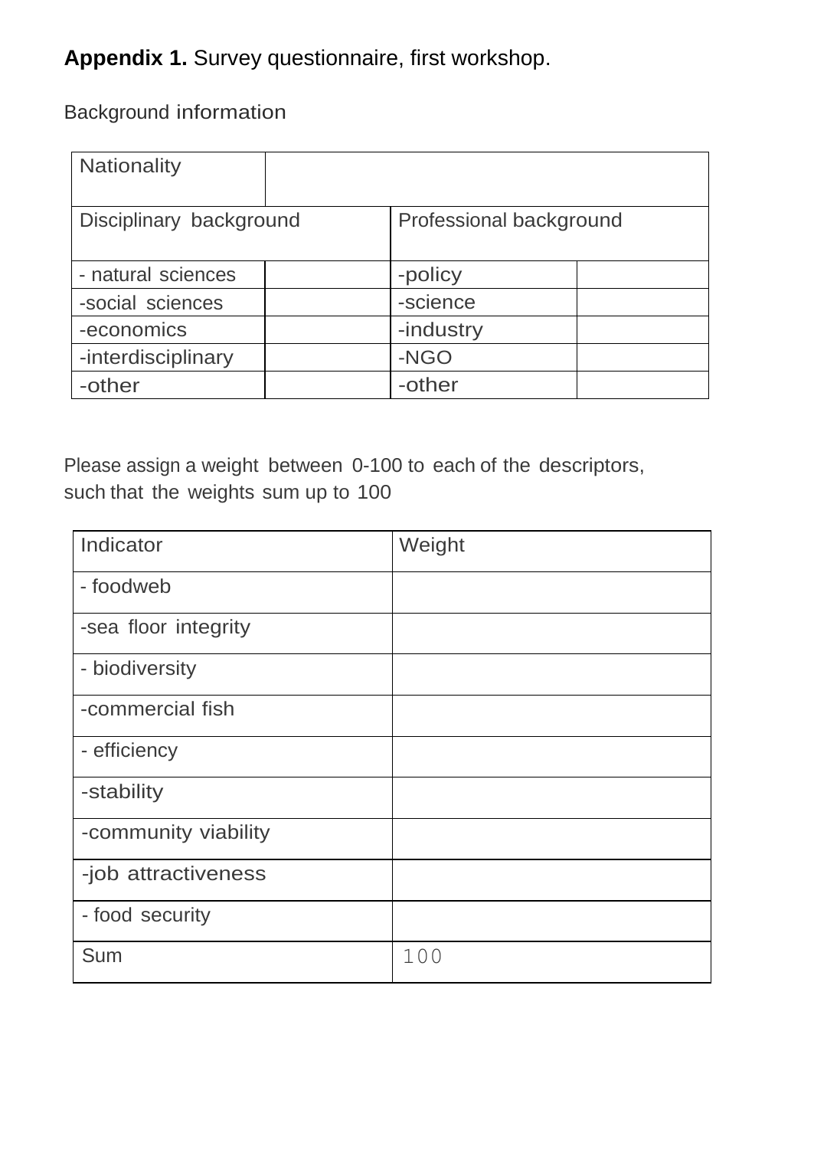# **Appendix 1.** Survey questionnaire, first workshop.

# Background information

| <b>Nationality</b>      |  |                         |  |
|-------------------------|--|-------------------------|--|
| Disciplinary background |  | Professional background |  |
| - natural sciences      |  | -policy                 |  |
| -social sciences        |  | -science                |  |
| -economics              |  | -industry               |  |
| -interdisciplinary      |  | -NGO                    |  |
| -other                  |  | -other                  |  |

Please assign a weight between 0-100 to each of the descriptors, such that the weights sum up to 100

| Indicator            | Weight |
|----------------------|--------|
| - foodweb            |        |
| -sea floor integrity |        |
| - biodiversity       |        |
| -commercial fish     |        |
| - efficiency         |        |
| -stability           |        |
| -community viability |        |
| -job attractiveness  |        |
| - food security      |        |
| Sum                  | 100    |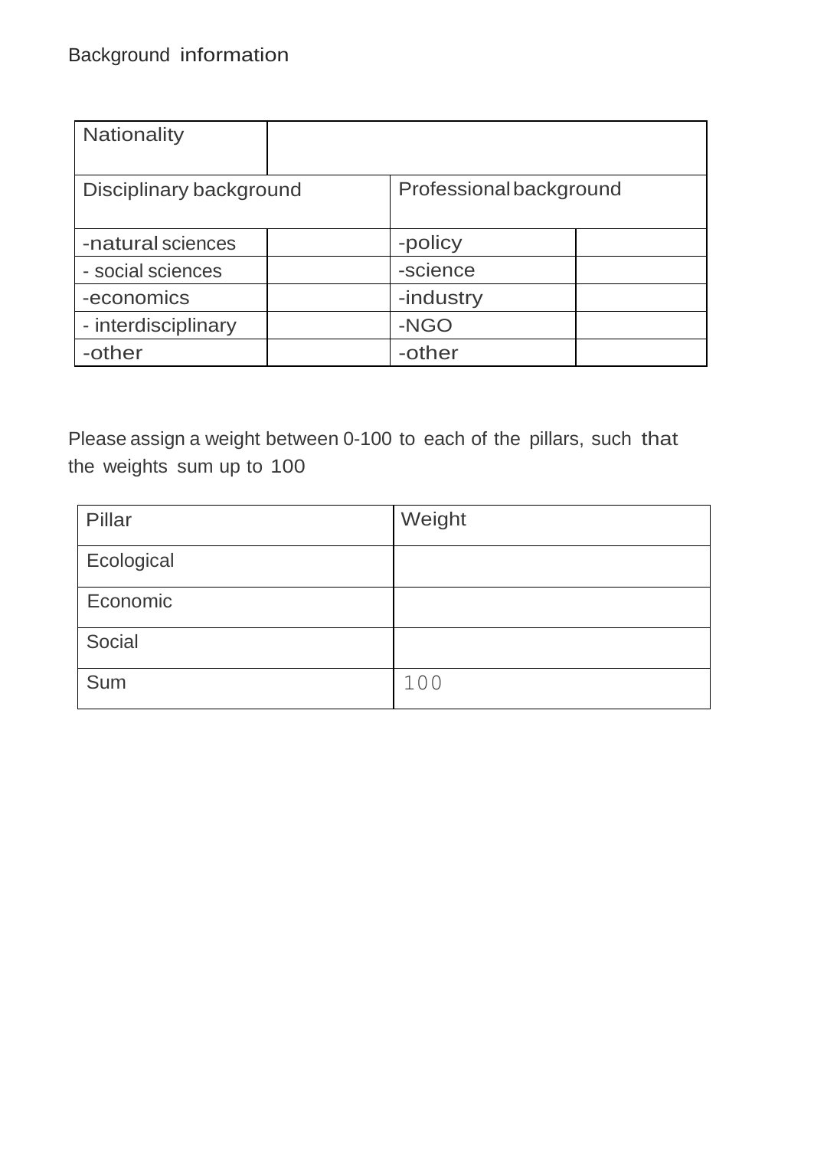| Nationality             |  |                         |  |
|-------------------------|--|-------------------------|--|
| Disciplinary background |  | Professional background |  |
| -natural sciences       |  | -policy                 |  |
| - social sciences       |  | -science                |  |
| -economics              |  | -industry               |  |
| - interdisciplinary     |  | -NGO                    |  |
| -other                  |  | -other                  |  |

Please assign a weight between 0-100 to each of the pillars, such that the weights sum up to 100

| Pillar     | Weight |
|------------|--------|
| Ecological |        |
| Economic   |        |
| Social     |        |
| Sum        | 100    |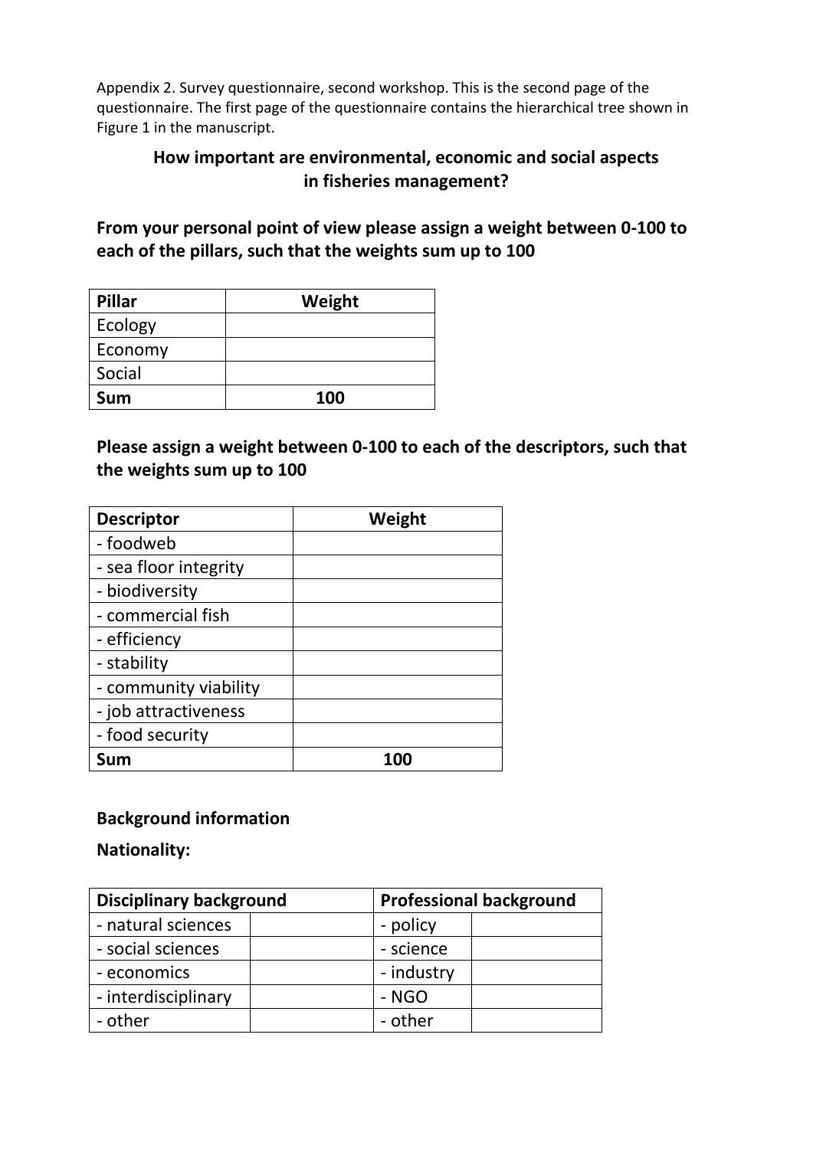Appendix 2. Survey questionnaire, second workshop. This is the second page of the questionnaire. The first page of the questionnaire contains the hierarchical tree shown in Figure 1 in the manuscript.

## **How important are environmental, economic and social aspects in fisheries management?**

**From your personal point of view please assign a weight between 0-100 to each of the pillars, such that the weights sum up to 100**

| Pillar  | Weight |  |  |
|---------|--------|--|--|
| Ecology |        |  |  |
| Economy |        |  |  |
| Social  |        |  |  |
| Sum     | 100    |  |  |
|         |        |  |  |

**Please assign a weight between 0-100 to each of the descriptors, such that the weights sum up to 100**

| <b>Descriptor</b>     | Weight |
|-----------------------|--------|
| - foodweb             |        |
| - sea floor integrity |        |
| - biodiversity        |        |
| - commercial fish     |        |
| - efficiency          |        |
| - stability           |        |
| - community viability |        |
| - job attractiveness  |        |
| - food security       |        |
| Sum                   |        |

### **Background information**

**Nationality:** 

| <b>Disciplinary background</b> | <b>Professional background</b> |  |
|--------------------------------|--------------------------------|--|
| - natural sciences             | - policy                       |  |
| - social sciences              | - science                      |  |
| - economics                    | - industry                     |  |
| - interdisciplinary            | - NGO                          |  |
| - other                        | - other                        |  |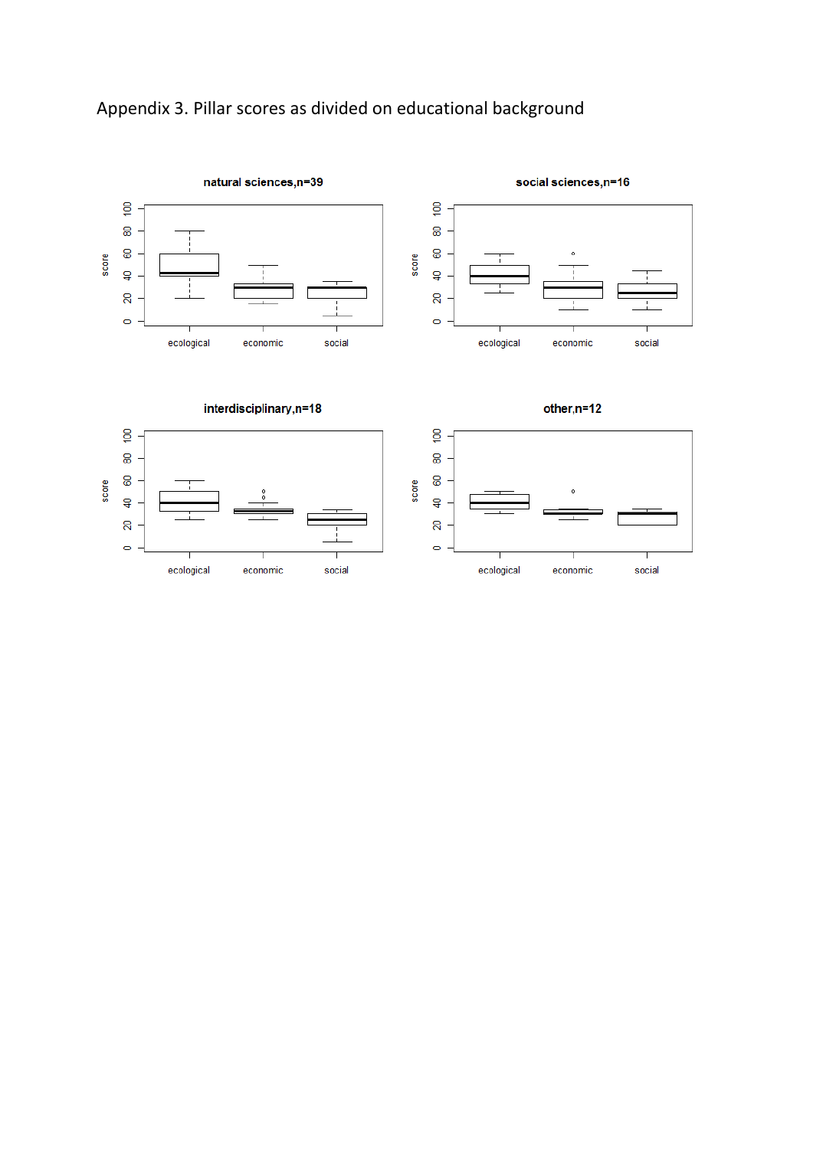



interdisciplinary,n=18



other,n=12